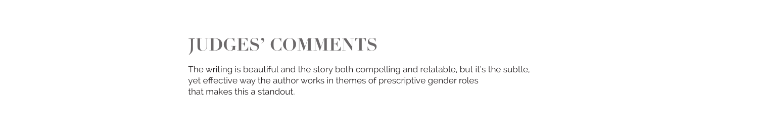# **JUDGES' COMMENTS**

The writing is beautiful and the story both compelling and relatable, but it's the subtle, yet effective way the author works in themes of prescriptive gender roles that makes this a standout.